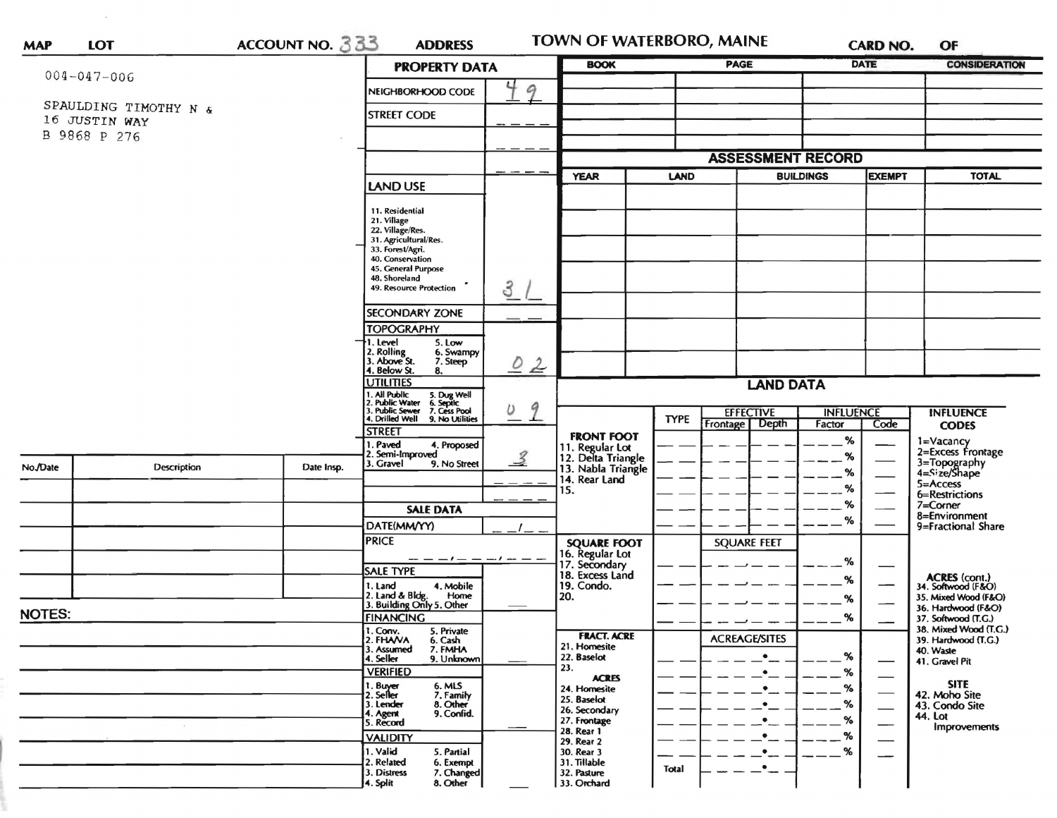| <b>MAP</b>            | <b>LOT</b>                    | ACCOUNT NO. 333 | <b>ADDRESS</b>                                                               |                             | <b>TOWN OF WATERBORO, MAINE</b>          |             |                          | <b>CARD NO.</b>                   |                                                         | OF                                           |
|-----------------------|-------------------------------|-----------------|------------------------------------------------------------------------------|-----------------------------|------------------------------------------|-------------|--------------------------|-----------------------------------|---------------------------------------------------------|----------------------------------------------|
| $004 - 047 - 006$     |                               |                 | <b>PROPERTY DATA</b>                                                         |                             | <b>BOOK</b>                              |             | <b>PAGE</b>              |                                   | <b>DATE</b>                                             | <b>CONSIDERATION</b>                         |
|                       |                               |                 | NEIGHBORHOOD CODE                                                            | 9                           |                                          |             |                          |                                   |                                                         |                                              |
| SPAULDING TIMOTHY N & |                               |                 | <b>STREET CODE</b>                                                           |                             |                                          |             |                          |                                   |                                                         |                                              |
|                       | 16 JUSTIN WAY<br>B 9868 P 276 |                 |                                                                              |                             |                                          |             |                          |                                   |                                                         |                                              |
|                       |                               |                 |                                                                              |                             |                                          |             |                          |                                   |                                                         |                                              |
|                       |                               |                 |                                                                              |                             |                                          |             | <b>ASSESSMENT RECORD</b> |                                   |                                                         |                                              |
|                       |                               |                 | LAND USE                                                                     |                             | <b>YEAR</b>                              | LAND        |                          | <b>BUILDINGS</b><br><b>EXEMPT</b> |                                                         | <b>TOTAL</b>                                 |
|                       |                               |                 | 11. Residential                                                              |                             |                                          |             |                          |                                   |                                                         |                                              |
|                       |                               |                 | 21. Village<br>22. Village/Res.                                              |                             |                                          |             |                          |                                   |                                                         |                                              |
|                       |                               |                 | 31. Agricultural/Res.                                                        |                             |                                          |             |                          |                                   |                                                         |                                              |
|                       |                               |                 | 33. Forest/Agri.<br>40. Conservation                                         |                             |                                          |             |                          |                                   |                                                         |                                              |
|                       |                               |                 | 45. General Purpose<br>48. Shoreland                                         |                             |                                          |             |                          |                                   |                                                         |                                              |
|                       |                               |                 | 49. Resource Protection                                                      | 3                           |                                          |             |                          |                                   |                                                         |                                              |
|                       |                               |                 | <b>SECONDARY ZONE</b>                                                        |                             |                                          |             |                          |                                   |                                                         |                                              |
|                       |                               |                 | <b>TOPOGRAPHY</b>                                                            |                             |                                          |             |                          |                                   |                                                         |                                              |
|                       |                               |                 | 1. Level<br>5. Low                                                           |                             |                                          |             |                          |                                   |                                                         |                                              |
|                       |                               |                 | 2. Rolling<br>3. Above St.<br>6. Swampy<br>7. Steep                          | 02                          |                                          |             |                          |                                   |                                                         |                                              |
|                       |                               |                 | 4. Below St.<br>8.<br>UTILITIES                                              | 9<br>υ                      | <b>LAND DATA</b>                         |             |                          |                                   |                                                         |                                              |
|                       |                               |                 | 1. All Public<br>5. Dug Well<br>6. Septic<br>7. Cess Pool<br>2. Public Water |                             |                                          |             |                          |                                   |                                                         |                                              |
|                       |                               |                 | 3. Public Sewer<br>4. Drilled Well<br>9. No Utilities                        |                             |                                          | <b>TYPE</b> | <b>EFFECTIVE</b>         | <b>INFLUENCE</b>                  |                                                         | <b>INFLUENCE</b>                             |
|                       |                               |                 | <b>STREET</b>                                                                |                             | <b>FRONT FOOT</b>                        |             | Frontage<br><b>Depth</b> | Factor                            | Code                                                    | <b>CODES</b>                                 |
|                       |                               |                 | 1. Paved<br>4. Proposed<br>2. Semi-Improved                                  |                             | 11. Regular Lot                          |             |                          | %<br>%                            |                                                         | 1=Vacancy<br>2=Excess Frontage               |
| No./Date              | Description                   | Date Insp.      | 3. Gravel<br>9. No Street                                                    | $\overline{\mathcal{L}}$    | 12. Delta Triangle<br>13. Nabla Triangle |             |                          | %                                 |                                                         | 3=Topography<br>4=Size/Shape                 |
|                       |                               |                 |                                                                              |                             | 14. Rear Land<br>15.                     |             |                          | %                                 |                                                         | $5 =$ Access                                 |
|                       |                               |                 |                                                                              |                             |                                          |             |                          | ℅                                 |                                                         | 6=Restrictions<br>$7 =$ Corner               |
|                       |                               |                 | <b>SALE DATA</b>                                                             |                             |                                          |             |                          | %                                 |                                                         | 8=Environment                                |
|                       |                               |                 | DATE(MM/YY)<br><b>PRICE</b>                                                  |                             |                                          |             |                          |                                   |                                                         | 9=Fractional Share                           |
|                       |                               |                 |                                                                              |                             | <b>SQUARE FOOT</b><br>16. Regular Lot    |             | <b>SQUARE FEET</b>       |                                   |                                                         |                                              |
|                       |                               |                 | <b>SALE TYPE</b>                                                             | $\frac{1}{2}$ $\frac{1}{2}$ | 17. Secondary                            |             |                          | %                                 |                                                         |                                              |
|                       |                               |                 | 1. Land<br>4. Mobile                                                         |                             | 18. Excess Land<br>19. Condo.            |             |                          | %                                 |                                                         | ACRES (cont.)<br>34. Softwood (F&O)          |
|                       |                               |                 | 2. Land & Bldg. Home<br>3. Building Only 5. Other<br>Home                    |                             | 20.                                      |             |                          | %                                 |                                                         | 35. Mixed Wood (F&O)<br>36. Hardwood (F&O)   |
| <b>NOTES:</b>         |                               |                 | <b>FINANCING</b>                                                             |                             |                                          |             |                          | %                                 |                                                         | 37. Softwood (T.G.)                          |
|                       |                               |                 | 1. Conv.<br>5. Private<br>2. FHAVA<br>6. Cash                                |                             | <b>FRACT. ACRE</b>                       |             | <b>ACREAGE/SITES</b>     |                                   |                                                         | 38. Mixed Wood (T.G.)<br>39. Hardwood (T.G.) |
|                       |                               |                 | 7. FMHA<br>3. Assumed<br>4. Seller<br>9. Unknown                             |                             | 21. Homesite<br>22. Baselot              |             |                          | %                                 |                                                         | 40. Waste                                    |
|                       |                               |                 | <b>VERIFIED</b>                                                              |                             | 23.                                      |             |                          | %                                 |                                                         | 41. Gravel Pit                               |
|                       |                               |                 | 1. Buy <del>er</del><br>2. Seiler<br>6. MLS<br>7. Family                     |                             | <b>ACRES</b><br>24. Homesite             |             |                          | $\%$                              | $\overbrace{\hspace{15em}}$<br>$\overline{\phantom{0}}$ | <b>SITE</b>                                  |
|                       |                               |                 | 8. Other<br>3. Lender                                                        |                             | 25. Baselot<br>26. Secondary             |             |                          | %                                 | $\overline{\phantom{0}}$                                | 42. Moho Site<br>43. Condo Site              |
|                       |                               |                 | 9. Confid.<br>4. Agent<br>5. Record                                          |                             | 27. Frontage                             |             |                          | %                                 | —                                                       | <b>44. Lot</b><br>Improvements               |
|                       |                               |                 | <b>VALIDITY</b>                                                              |                             | 28. Rear 1<br>29. Rear 2                 |             |                          | %                                 |                                                         |                                              |
|                       |                               |                 | 1. Valid<br>5. Partial                                                       |                             | 30. Rear 3                               |             | $\bullet$                | %                                 |                                                         |                                              |
|                       |                               |                 | 2. Related<br>6. Exempt<br>3. Distress<br>7. Changed                         |                             | 31. Tillable<br>32. Pasture              | Total       | $\bullet$                |                                   |                                                         |                                              |
|                       |                               |                 | 8. Other<br>4. Split                                                         |                             | 33. Orchard                              |             |                          |                                   |                                                         |                                              |

 $\epsilon$  .  $\epsilon$